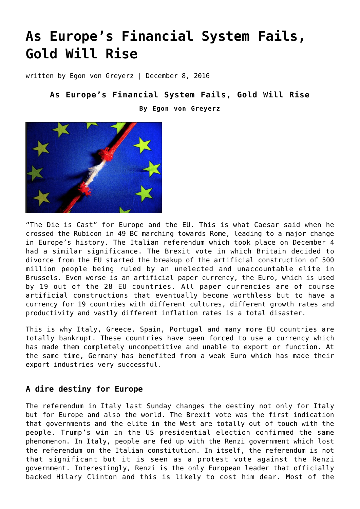# **[As Europe's Financial System Fails,](https://goldswitzerland.com/as-europes-financial-system-fails-gold-will-rise/) [Gold Will Rise](https://goldswitzerland.com/as-europes-financial-system-fails-gold-will-rise/)**

written by Egon von Greyerz | December 8, 2016

## **As Europe's Financial System Fails, Gold Will Rise**

**By Egon von Greyerz**



"The Die is Cast" for Europe and the EU. This is what Caesar said when he crossed the Rubicon in 49 BC marching towards Rome, leading to a major change in Europe's history. The Italian referendum which took place on December 4 had a similar significance. The Brexit vote in which Britain decided to divorce from the EU started the breakup of the artificial construction of 500 million people being ruled by an unelected and unaccountable elite in Brussels. Even worse is an artificial paper currency, the Euro, which is used by 19 out of the 28 EU countries. All paper currencies are of course artificial constructions that eventually become worthless but to have a currency for 19 countries with different cultures, different growth rates and productivity and vastly different inflation rates is a total disaster.

This is why Italy, Greece, Spain, Portugal and many more EU countries are totally bankrupt. These countries have been forced to use a currency which has made them completely uncompetitive and unable to export or function. At the same time, Germany has benefited from a weak Euro which has made their export industries very successful.

## **A dire destiny for Europe**

The referendum in Italy last Sunday changes the destiny not only for Italy but for Europe and also the world. The Brexit vote was the first indication that governments and the elite in the West are totally out of touch with the people. Trump's win in the US presidential election confirmed the same phenomenon. In Italy, people are fed up with the Renzi government which lost the referendum on the Italian constitution. In itself, the referendum is not that significant but it is seen as a protest vote against the Renzi government. Interestingly, Renzi is the only European leader that officially backed Hilary Clinton and this is likely to cost him dear. Most of the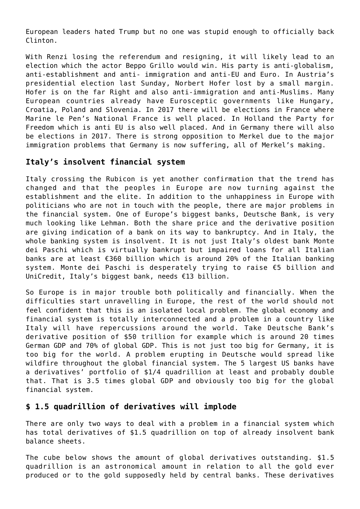European leaders hated Trump but no one was stupid enough to officially back Clinton.

With Renzi losing the referendum and resigning, it will likely lead to an election which the actor Beppo Grillo would win. His party is anti-globalism, anti-establishment and anti- immigration and anti-EU and Euro. In Austria's presidential election last Sunday, Norbert Hofer lost by a small margin. Hofer is on the far Right and also anti-immigration and anti-Muslims. Many European countries already have Eurosceptic governments like Hungary, Croatia, Poland and Slovenia. In 2017 there will be elections in France where Marine le Pen's National France is well placed. In Holland the Party for Freedom which is anti EU is also well placed. And in Germany there will also be elections in 2017. There is strong opposition to Merkel due to the major immigration problems that Germany is now suffering, all of Merkel's making.

## **Italy's insolvent financial system**

Italy crossing the Rubicon is yet another confirmation that the trend has changed and that the peoples in Europe are now turning against the establishment and the elite. In addition to the unhappiness in Europe with politicians who are not in touch with the people, there are major problems in the financial system. One of Europe's biggest banks, Deutsche Bank, is very much looking like Lehman. Both the share price and the derivative position are giving indication of a bank on its way to bankruptcy. And in Italy, the whole banking system is insolvent. It is not just Italy's oldest bank Monte dei Paschi which is virtually bankrupt but impaired loans for all Italian banks are at least €360 billion which is around 20% of the Italian banking system. Monte dei Paschi is desperately trying to raise €5 billion and UniCredit, Italy's biggest bank, needs €13 billion.

So Europe is in major trouble both politically and financially. When the difficulties start unravelling in Europe, the rest of the world should not feel confident that this is an isolated local problem. The global economy and financial system is totally interconnected and a problem in a country like Italy will have repercussions around the world. Take Deutsche Bank's derivative position of \$50 trillion for example which is around 20 times German GDP and 70% of global GDP. This is not just too big for Germany, it is too big for the world. A problem erupting in Deutsche would spread like wildfire throughout the global financial system. The 5 largest US banks have a derivatives' portfolio of \$1/4 quadrillion at least and probably double that. That is 3.5 times global GDP and obviously too big for the global financial system.

## **\$ 1.5 quadrillion of derivatives will implode**

There are only two ways to deal with a problem in a financial system which has total derivatives of \$1.5 quadrillion on top of already insolvent bank balance sheets.

The cube below shows the amount of global derivatives outstanding. \$1.5 quadrillion is an astronomical amount in relation to all the gold ever produced or to the gold supposedly held by central banks. These derivatives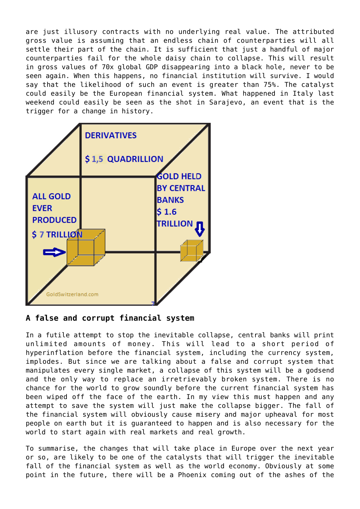are just illusory contracts with no underlying real value. The attributed gross value is assuming that an endless chain of counterparties will all settle their part of the chain. It is sufficient that just a handful of major counterparties fail for the whole daisy chain to collapse. This will result in gross values of 70x global GDP disappearing into a black hole, never to be seen again. When this happens, no financial institution will survive. I would say that the likelihood of such an event is greater than 75%. The catalyst could easily be the European financial system. What happened in Italy last weekend could easily be seen as the shot in Sarajevo, an event that is the trigger for a change in history.



## **A false and corrupt financial system**

In a futile attempt to stop the inevitable collapse, central banks will print unlimited amounts of money. This will lead to a short period of hyperinflation before the financial system, including the currency system, implodes. But since we are talking about a false and corrupt system that manipulates every single market, a collapse of this system will be a godsend and the only way to replace an irretrievably broken system. There is no chance for the world to grow soundly before the current financial system has been wiped off the face of the earth. In my view this must happen and any attempt to save the system will just make the collapse bigger. The fall of the financial system will obviously cause misery and major upheaval for most people on earth but it is guaranteed to happen and is also necessary for the world to start again with real markets and real growth.

To summarise, the changes that will take place in Europe over the next year or so, are likely to be one of the catalysts that will trigger the inevitable fall of the financial system as well as the world economy. Obviously at some point in the future, there will be a Phoenix coming out of the ashes of the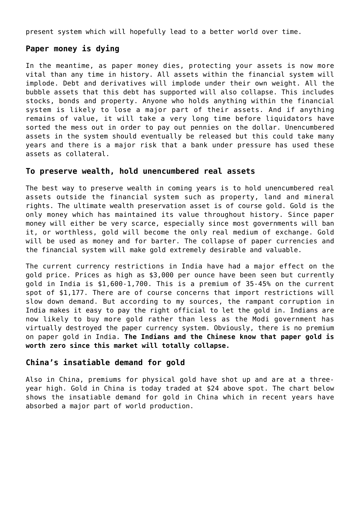present system which will hopefully lead to a better world over time.

### **Paper money is dying**

In the meantime, as paper money dies, protecting your assets is now more vital than any time in history. All assets within the financial system will implode. Debt and derivatives will implode under their own weight. All the bubble assets that this debt has supported will also collapse. This includes stocks, bonds and property. Anyone who holds anything within the financial system is likely to lose a major part of their assets. And if anything remains of value, it will take a very long time before liquidators have sorted the mess out in order to pay out pennies on the dollar. Unencumbered assets in the system should eventually be released but this could take many years and there is a major risk that a bank under pressure has used these assets as collateral.

#### **To preserve wealth, hold unencumbered real assets**

The best way to preserve wealth in coming years is to hold unencumbered real assets outside the financial system such as property, land and mineral rights. The ultimate wealth preservation asset is of course gold. Gold is the only money which has maintained its value throughout history. Since paper money will either be very scarce, especially since most governments will ban it, or worthless, gold will become the only real medium of exchange. Gold will be used as money and for barter. The collapse of paper currencies and the financial system will make gold extremely desirable and valuable.

The current currency restrictions in India have had a major effect on the gold price. Prices as high as \$3,000 per ounce have been seen but currently gold in India is \$1,600-1,700. This is a premium of 35-45% on the current spot of \$1,177. There are of course concerns that import restrictions will slow down demand. But according to my sources, the rampant corruption in India makes it easy to pay the right official to let the gold in. Indians are now likely to buy more gold rather than less as the Modi government has virtually destroyed the paper currency system. Obviously, there is no premium on paper gold in India. **The Indians and the Chinese know that paper gold is worth zero since this market will totally collapse.**

#### **China's insatiable demand for gold**

Also in China, premiums for physical gold have shot up and are at a threeyear high. Gold in China is today traded at \$24 above spot. The chart below shows the insatiable demand for gold in China which in recent years have absorbed a major part of world production.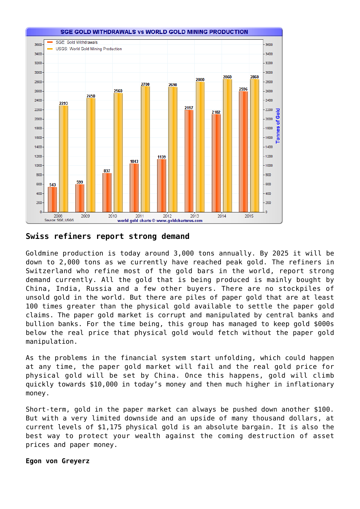

### **Swiss refiners report strong demand**

Goldmine production is today around 3,000 tons annually. By 2025 it will be down to 2,000 tons as we currently have reached peak gold. The refiners in Switzerland who refine most of the gold bars in the world, report strong demand currently. All the gold that is being produced is mainly bought by China, India, Russia and a few other buyers. There are no stockpiles of unsold gold in the world. But there are piles of paper gold that are at least 100 times greater than the physical gold available to settle the paper gold claims. The paper gold market is corrupt and manipulated by central banks and bullion banks. For the time being, this group has managed to keep gold \$000s below the real price that physical gold would fetch without the paper gold manipulation.

As the problems in the financial system start unfolding, which could happen at any time, the paper gold market will fail and the real gold price for physical gold will be set by China. Once this happens, gold will climb quickly towards \$10,000 in today's money and then much higher in inflationary money.

Short-term, gold in the paper market can always be pushed down another \$100. But with a very limited downside and an upside of many thousand dollars, at current levels of \$1,175 physical gold is an absolute bargain. It is also the best way to protect your wealth against the coming destruction of asset prices and paper money.

#### **Egon von Greyerz**